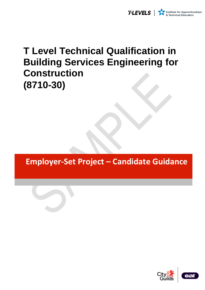

# **T Level Technical Qualification in Building Services Engineering for Construction (8710-30)**

**Employer-Set Project – Candidate Guidance**

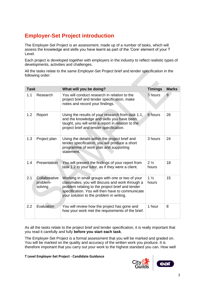# **Employer-Set Project introduction**

The Employer-Set Project is an assessment, made up of a number of tasks, which will assess the knowledge and skills you have learnt as part of the 'Core' element of your T Level.

Each project is developed together with employers in the industry to reflect realistic types of developments, activities and challenges.

All the tasks relate to the same Employer-Set Project brief and tender specification in the following order:

| <b>Task</b> |                                      | What will you be doing?                                                                                                                                                                                                                                | <b>Timings</b>          | <b>Marks</b> |
|-------------|--------------------------------------|--------------------------------------------------------------------------------------------------------------------------------------------------------------------------------------------------------------------------------------------------------|-------------------------|--------------|
| 1.1         | Research                             | You will conduct research in relation to the<br>project brief and tender specification, make<br>notes and record your findings.                                                                                                                        | 3 hours                 | 9            |
| 1.2         | Report                               | Using the results of your research from task 1.1,<br>and the knowledge and skills you have been<br>taught, you will write a report in relation to the<br>project brief and tender specification.                                                       | 6 hours                 | 26           |
| 1.3         | Project plan                         | Using the details within the project brief and<br>tender specification, you will produce a short<br>programme of work plan and supporting<br>statement.                                                                                                | 3 hours                 | 24           |
| 1.4         | Presentation                         | You will present the findings of your report from<br>task 1.2 to your tutor, as if they were a client.                                                                                                                                                 | $2\frac{1}{2}$<br>hours | 18           |
| 2.1         | Collaborative<br>problem-<br>solving | Working in small groups with one or two of your<br>classmates, you will discuss and work through a<br>problem relating to the project brief and tender<br>specification. You will then have to communicate<br>your solution to the problem in writing. | $1\frac{1}{2}$<br>hours | 15           |
| 2.2         | Evaluation                           | You will review how the project has gone and<br>how your work met the requirements of the brief.                                                                                                                                                       | 1 hour                  | 8            |

As all the tasks relate to the project brief and tender specification, it is really important that you read it carefully and fully **before you start each task**.

The Employer-Set Project is a formal assessment that you will be marked and graded on. You will be marked on the quality and accuracy of the written work you produce. It is therefore important that you carry out your work to the highest standard you can. How well

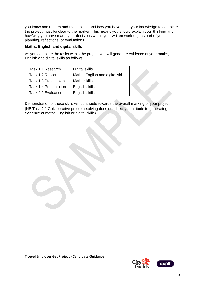you know and understand the subject, and how you have used your knowledge to complete the project must be clear to the marker. This means you should explain your thinking and how/why you have made your decisions within your written work e.g. as part of your planning, reflections, or evaluations.

## **Maths, English and digital skills**

As you complete the tasks within the project you will generate evidence of your maths, English and digital skills as follows;

| Task 1.1 Research     | Digital skills                    |  |  |
|-----------------------|-----------------------------------|--|--|
| Task 1.2 Report       | Maths, English and digital skills |  |  |
| Task 1.3 Project plan | Maths skills                      |  |  |
| Task 1.4 Presentation | English skills                    |  |  |
| Task 2.2 Evaluation   | English skills                    |  |  |

Demonstration of these skills will contribute towards the overall marking of your project. (NB Task 2.1 Collaborative problem-solving does not directly contribute to generating evidence of maths, English or digital skills)

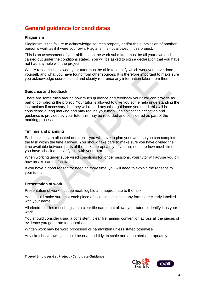# **General guidance for candidates**

## **Plagiarism**

Plagiarism is the failure to acknowledge sources properly and/or the submission of another person's work as if it were your own. Plagiarism is not allowed in this project.

This is an assessment of your abilities, so the work submitted must be all your own and carried out under the conditions stated. You will be asked to sign a declaration that you have not had any help with the project.

Where research is allowed, your tutor must be able to identify which work you have done yourself, and what you have found from other sources. It is therefore important to make sure you acknowledge sources used and clearly reference any information taken from them.

### **Guidance and feedback**

There are some rules around how much guidance and feedback your tutor can provide as part of completing the project. Your tutor is allowed to give you some help understanding the instructions if necessary, but they will record any other guidance you need, this will be considered during marking and may reduce your mark. If significant clarification and guidance is provided by your tutor this may be recorded and considered as part of the marking process.

### **Timings and planning**

Each task has an allocated duration – you will have to plan your work so you can complete the task within the time allowed. You should take care to make sure you have divided the time available between parts of the task appropriately. If you are not sure how much time you have, check and clarify this with your tutor.

When working under supervised conditions for longer sessions, your tutor will advise you on how breaks can be facilitated.

If you have a good reason for needing more time, you will need to explain the reasons to your tutor.

### **Presentation of work**

Presentation of work must be neat, legible and appropriate to the task.

You should make sure that each piece of evidence including any forms are clearly labelled with your name.

All electronic files must be given a clear file name that allows your tutor to identify it as your work.

You should consider using a consistent, clear file naming convention across all the pieces of evidence you generate for submission.

Written work may be word processed or handwritten unless stated otherwise.

Any sketches/drawings should be neat and tidy, to scale and annotated appropriately.



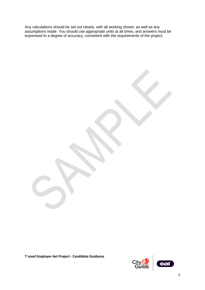Any calculations should be set out clearly, with all working shown, as well as any assumptions made. You should use appropriate units at all times, and answers must be expressed to a degree of accuracy, consistent with the requirements of the project.